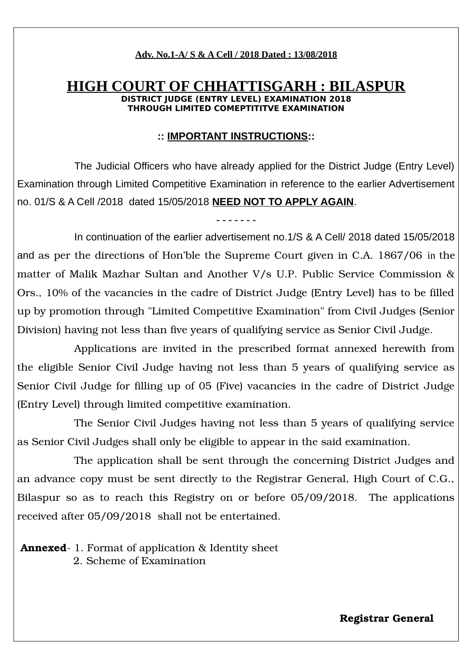## **Adv. No.1-A/ S & A Cell / 2018 Dated : 13/08/2018**

## **HIGH COURT OF CHHATTISGARH : BILASPUR DISTRICT JUDGE (ENTRY LEVEL) EXAMINATION THROUGH LIMITED COMEPTITITVE EXAMINATION**

#### **:: IMPORTANT INSTRUCTIONS::**

The Judicial Officers who have already applied for the District Judge (Entry Level) Examination through Limited Competitive Examination in reference to the earlier Advertisement no. 01/S & A Cell /2018 dated 15/05/2018 **NEED NOT TO APPLY AGAIN**.

**- - - - - - -**

In continuation of the earlier advertisement no.1/S & A Cell/ 2018 dated 15/05/2018 and as per the directions of Hon'ble the Supreme Court given in C.A. 1867/06 in the matter of Malik Mazhar Sultan and Another V/s U.P. Public Service Commission & Ors., 10% of the vacancies in the cadre of District Judge (Entry Level) has to be filled up by promotion through "Limited Competitive Examination" from Civil Judges (Senior Division) having not less than five years of qualifying service as Senior Civil Judge.

Applications are invited in the prescribed format annexed herewith from the eligible Senior Civil Judge having not less than 5 years of qualifying service as Senior Civil Judge for filling up of 05 (Five) vacancies in the cadre of District Judge (Entry Level) through limited competitive examination.

The Senior Civil Judges having not less than 5 years of qualifying service as Senior Civil Judges shall only be eligible to appear in the said examination.

The application shall be sent through the concerning District Judges and an advance copy must be sent directly to the Registrar General, High Court of C.G., Bilaspur so as to reach this Registry on or before 05/09/2018. The applications received after 05/09/2018 shall not be entertained.

**Annexed** - 1. Format of application & Identity sheet 2. Scheme of Examination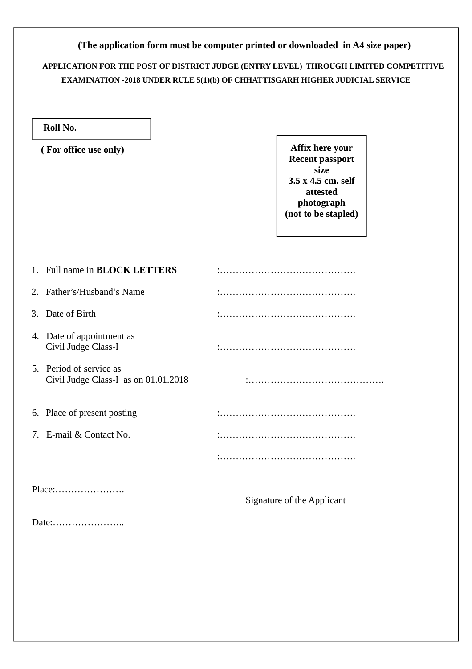|                                                                 | <b>EXAMINATION -2018 UNDER RULE 5(1)(b) OF CHHATTISGARH HIGHER JUDICIAL SERVICE</b>                                      |  |
|-----------------------------------------------------------------|--------------------------------------------------------------------------------------------------------------------------|--|
| Roll No.                                                        |                                                                                                                          |  |
| (For office use only)                                           | Affix here your<br><b>Recent passport</b><br>size<br>3.5 x 4.5 cm. self<br>attested<br>photograph<br>(not to be stapled) |  |
| Full name in <b>BLOCK LETTERS</b><br>1.                         |                                                                                                                          |  |
| Father's/Husband's Name<br>2.                                   |                                                                                                                          |  |
| Date of Birth<br>3.                                             |                                                                                                                          |  |
| 4. Date of appointment as<br>Civil Judge Class-I                |                                                                                                                          |  |
| 5. Period of service as<br>Civil Judge Class-I as on 01.01.2018 |                                                                                                                          |  |
| 6. Place of present posting                                     |                                                                                                                          |  |
| 7. E-mail & Contact No.                                         |                                                                                                                          |  |
|                                                                 |                                                                                                                          |  |
| Place:                                                          | <b>Signature of the Applicant</b>                                                                                        |  |
|                                                                 |                                                                                                                          |  |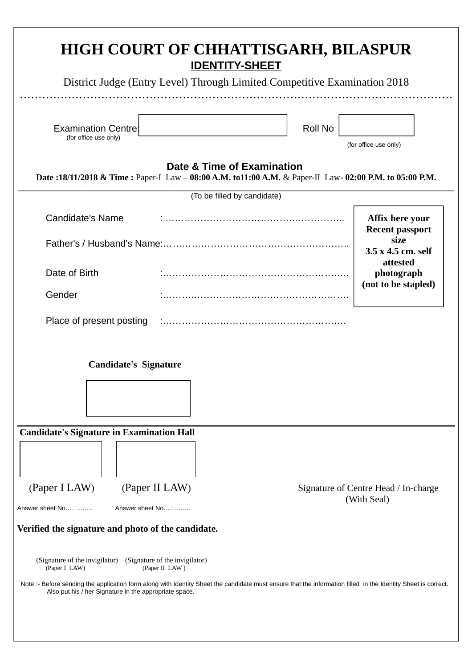|                                                                    | District Judge (Entry Level) Through Limited Competitive Examination 2018                                                              |         |                                                   |
|--------------------------------------------------------------------|----------------------------------------------------------------------------------------------------------------------------------------|---------|---------------------------------------------------|
| <b>Examination Centre:</b><br>(for office use only)                |                                                                                                                                        | Roll No | (for office use only)                             |
|                                                                    | Date & Time of Examination<br>Date :18/11/2018 & Time : Paper-I Law - 08:00 A.M. to11:00 A.M. & Paper-II Law- 02:00 P.M. to 05:00 P.M. |         |                                                   |
|                                                                    | (To be filled by candidate)                                                                                                            |         |                                                   |
| <b>Candidate's Name</b>                                            |                                                                                                                                        |         | Affix here your<br><b>Recent passport</b><br>size |
| Date of Birth                                                      |                                                                                                                                        |         | 3.5 x 4.5 cm. self<br>attested<br>photograph      |
| Gender                                                             |                                                                                                                                        |         | (not to be stapled)                               |
| Place of present posting                                           |                                                                                                                                        |         |                                                   |
|                                                                    | <b>Candidate's Signature</b>                                                                                                           |         |                                                   |
|                                                                    | <b>Candidate's Signature in Examination Hall</b>                                                                                       |         |                                                   |
|                                                                    |                                                                                                                                        |         | Signature of Centre Head / In-charge              |
| (Paper I LAW)                                                      | (Paper II LAW)                                                                                                                         |         | (With Seal)                                       |
|                                                                    | Answer sheet No                                                                                                                        |         |                                                   |
|                                                                    | Verified the signature and photo of the candidate.                                                                                     |         |                                                   |
| Answer sheet No<br>(Signature of the invigilator)<br>(Paper I LAW) | (Signature of the invigilator)<br>(Paper II LAW)                                                                                       |         |                                                   |